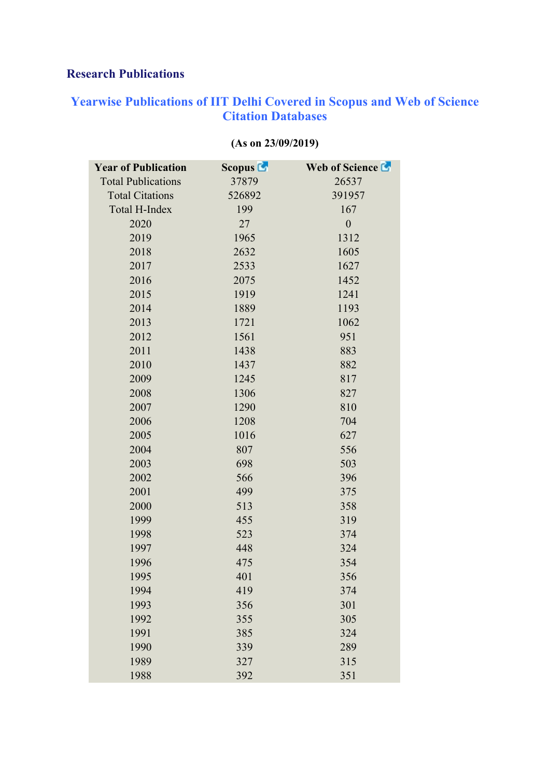## **Research Publications**

## **Yearwise Publications of IIT Delhi Covered in Scopus and Web of Science Citation Databases**

| <b>Year of Publication</b> | <b>Scopus L</b> | Web of Science La |
|----------------------------|-----------------|-------------------|
| <b>Total Publications</b>  | 37879           | 26537             |
| <b>Total Citations</b>     | 526892          | 391957            |
| <b>Total H-Index</b>       | 199             | 167               |
| 2020                       | 27              | $\boldsymbol{0}$  |
| 2019                       | 1965            | 1312              |
| 2018                       | 2632            | 1605              |
| 2017                       | 2533            | 1627              |
| 2016                       | 2075            | 1452              |
| 2015                       | 1919            | 1241              |
| 2014                       | 1889            | 1193              |
| 2013                       | 1721            | 1062              |
| 2012                       | 1561            | 951               |
| 2011                       | 1438            | 883               |
| 2010                       | 1437            | 882               |
| 2009                       | 1245            | 817               |
| 2008                       | 1306            | 827               |
| 2007                       | 1290            | 810               |
| 2006                       | 1208            | 704               |
| 2005                       | 1016            | 627               |
| 2004                       | 807             | 556               |
| 2003                       | 698             | 503               |
| 2002                       | 566             | 396               |
| 2001                       | 499             | 375               |
| 2000                       | 513             | 358               |
| 1999                       | 455             | 319               |
| 1998                       | 523             | 374               |
| 1997                       | 448             | 324               |
| 1996                       | 475             | 354               |
| 1995                       | 401             | 356               |
| 1994                       | 419             | 374               |
| 1993                       | 356             | 301               |
| 1992                       | 355             | 305               |
| 1991                       | 385             | 324               |
| 1990                       | 339             | 289               |
| 1989                       | 327             | 315               |
| 1988                       | 392             | 351               |

## **(As on 23/09/2019)**